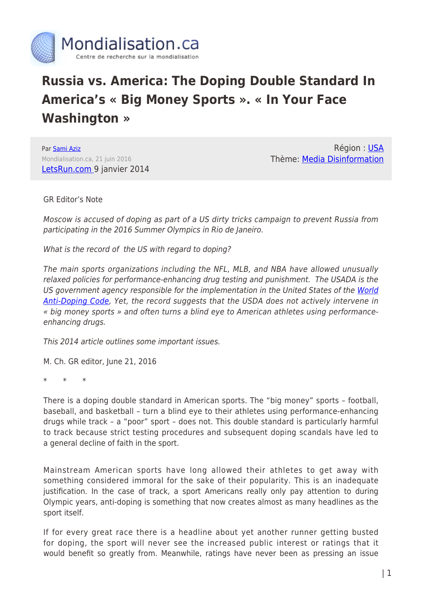

## **Russia vs. America: The Doping Double Standard In America's « Big Money Sports ». « In Your Face Washington »**

Par [Sami Aziz](https://www.mondialisation.ca/author/sami) Mondialisation.ca, 21 juin 2016 [LetsRun.com 9](http://www.letsrun.com/news/2014/01/doping-double-standard-american-sports-needs-end/) janvier 2014

Région : [USA](https://www.mondialisation.ca/region/usa) Thème: [Media Disinformation](https://www.mondialisation.ca/theme/media-disinformation)

GR Editor's Note

Moscow is accused of doping as part of a US dirty tricks campaign to prevent Russia from participating in the 2016 Summer Olympics in Rio de Janeiro.

What is the record of the US with regard to doping?

The main sports organizations including the NFL, MLB, and NBA have allowed unusually relaxed policies for performance-enhancing drug testing and punishment. The USADA is the US government agency responsible for the implementation in the United States of the [World](https://en.wikipedia.org/wiki/World_Anti-Doping_Code) [Anti-Doping Code,](https://en.wikipedia.org/wiki/World_Anti-Doping_Code) Yet, the record suggests that the USDA does not actively intervene in « big money sports » and often turns a blind eye to American athletes using performanceenhancing drugs.

This 2014 article outlines some important issues.

M. Ch. GR editor, June 21, 2016

\* \* \*

There is a doping double standard in American sports. The "big money" sports – football, baseball, and basketball – turn a blind eye to their athletes using performance-enhancing drugs while track – a "poor" sport – does not. This double standard is particularly harmful to track because strict testing procedures and subsequent doping scandals have led to a general decline of faith in the sport.

Mainstream American sports have long allowed their athletes to get away with something considered immoral for the sake of their popularity. This is an inadequate justification. In the case of track, a sport Americans really only pay attention to during Olympic years, anti-doping is something that now creates almost as many headlines as the sport itself.

If for every great race there is a headline about yet another runner getting busted for doping, the sport will never see the increased public interest or ratings that it would benefit so greatly from. Meanwhile, ratings have never been as pressing an issue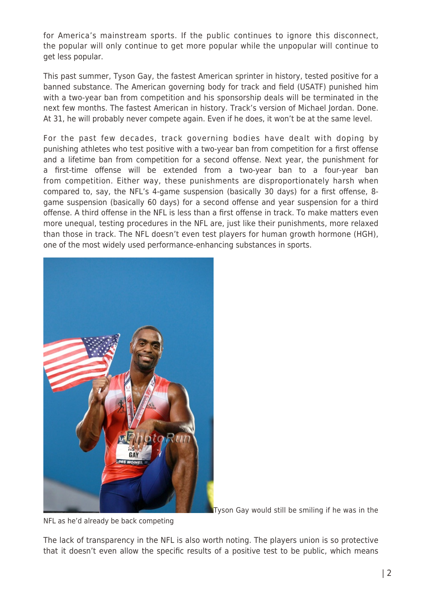for America's mainstream sports. If the public continues to ignore this disconnect, the popular will only continue to get more popular while the unpopular will continue to get less popular.

This past summer, Tyson Gay, the fastest American sprinter in history, tested positive for a banned substance. The American governing body for track and field (USATF) punished him with a two-year ban from competition and his sponsorship deals will be terminated in the next few months. The fastest American in history. Track's version of Michael Jordan. Done. At 31, he will probably never compete again. Even if he does, it won't be at the same level.

For the past few decades, track governing bodies have dealt with doping by punishing athletes who test positive with a two-year ban from competition for a first offense and a lifetime ban from competition for a second offense. Next year, the punishment for a first-time offense will be extended from a two-year ban to a four-year ban from competition. Either way, these punishments are disproportionately harsh when compared to, say, the NFL's 4-game suspension (basically 30 days) for a first offense, 8 game suspension (basically 60 days) for a second offense and year suspension for a third offense. A third offense in the NFL is less than a first offense in track. To make matters even more unequal, testing procedures in the NFL are, just like their punishments, more relaxed than those in track. The NFL doesn't even test players for human growth hormone (HGH), one of the most widely used performance-enhancing substances in sports.



Tyson Gay would still be smiling if he was in the

NFL as he'd already be back competing

The lack of transparency in the NFL is also worth noting. The players union is so protective that it doesn't even allow the specific results of a positive test to be public, which means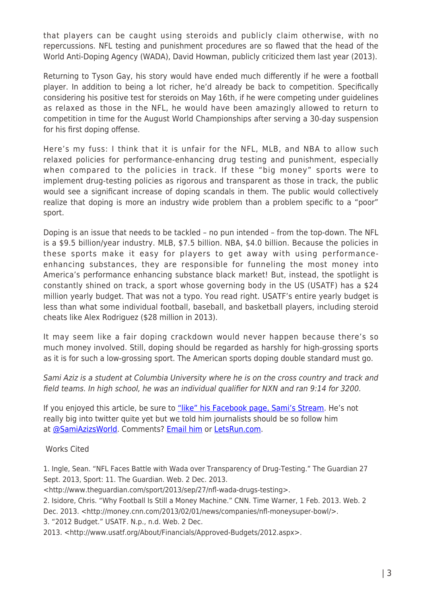that players can be caught using steroids and publicly claim otherwise, with no repercussions. NFL testing and punishment procedures are so flawed that the head of the World Anti-Doping Agency (WADA), David Howman, publicly criticized them last year (2013).

Returning to Tyson Gay, his story would have ended much differently if he were a football player. In addition to being a lot richer, he'd already be back to competition. Specifically considering his positive test for steroids on May 16th, if he were competing under guidelines as relaxed as those in the NFL, he would have been amazingly allowed to return to competition in time for the August World Championships after serving a 30-day suspension for his first doping offense.

Here's my fuss: I think that it is unfair for the NFL, MLB, and NBA to allow such relaxed policies for performance-enhancing drug testing and punishment, especially when compared to the policies in track. If these "big money" sports were to implement drug-testing policies as rigorous and transparent as those in track, the public would see a significant increase of doping scandals in them. The public would collectively realize that doping is more an industry wide problem than a problem specific to a "poor" sport.

Doping is an issue that needs to be tackled – no pun intended – from the top-down. The NFL is a \$9.5 billion/year industry. MLB, \$7.5 billion. NBA, \$4.0 billion. Because the policies in these sports make it easy for players to get away with using performanceenhancing substances, they are responsible for funneling the most money into America's performance enhancing substance black market! But, instead, the spotlight is constantly shined on track, a sport whose governing body in the US (USATF) has a \$24 million yearly budget. That was not a typo. You read right. USATF's entire yearly budget is less than what some individual football, baseball, and basketball players, including steroid cheats like Alex Rodriguez (\$28 million in 2013).

It may seem like a fair doping crackdown would never happen because there's so much money involved. Still, doping should be regarded as harshly for high-grossing sports as it is for such a low-grossing sport. The American sports doping double standard must go.

Sami Aziz is a student at Columbia University where he is on the cross country and track and field teams. In high school, he was an individual qualifier for NXN and ran 9:14 for 3200.

If you enjoyed this article, be sure to ["like" his Facebook page, Sami's Stream](https://www.facebook.com/samisstream). He's not really big into twitter quite yet but we told him journalists should be so follow him at [@SamiAzizsWorld](https://twitter.com/SamiAzizsWorld). Comments? [Email him](mailto:sa3116@columbia.edu) or [LetsRun.com](mailto:letsrun@letsrun.com).

Works Cited

1. Ingle, Sean. "NFL Faces Battle with Wada over Transparency of Drug-Testing." The Guardian 27 Sept. 2013, Sport: 11. The Guardian. Web. 2 Dec. 2013.

<http://www.theguardian.com/sport/2013/sep/27/nfl-wada-drugs-testing>.

2. Isidore, Chris. "Why Football Is Still a Money Machine." CNN. Time Warner, 1 Feb. 2013. Web. 2 Dec. 2013. <http://money.cnn.com/2013/02/01/news/companies/nfl-moneysuper-bowl/>.

3. "2012 Budget." USATF. N.p., n.d. Web. 2 Dec.

2013. <http://www.usatf.org/About/Financials/Approved-Budgets/2012.aspx>.